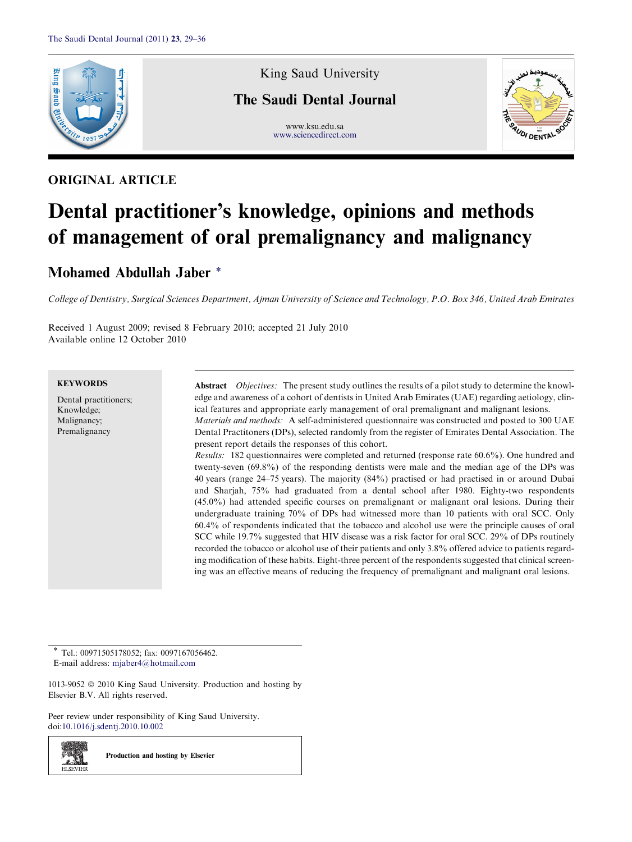

## ORIGINAL ARTICLE

King Saud University

# The Saudi Dental Journal

www.ksu.edu.sa



### [www.sciencedirect.com](http://www.sciencedirect.com/science/journal/10139052)

# Dental practitioner's knowledge, opinions and methods of management of oral premalignancy and malignancy

## Mohamed Abdullah Jaber \*

College of Dentistry, Surgical Sciences Department, Ajman University of Science and Technology, P.O. Box 346, United Arab Emirates

Received 1 August 2009; revised 8 February 2010; accepted 21 July 2010 Available online 12 October 2010

#### **KEYWORDS**

Dental practitioners; Knowledge; Malignancy; Premalignancy

Abstract Objectives: The present study outlines the results of a pilot study to determine the knowledge and awareness of a cohort of dentists in United Arab Emirates (UAE) regarding aetiology, clinical features and appropriate early management of oral premalignant and malignant lesions. Materials and methods: A self-administered questionnaire was constructed and posted to 300 UAE Dental Practitoners (DPs), selected randomly from the register of Emirates Dental Association. The present report details the responses of this cohort.

Results: 182 questionnaires were completed and returned (response rate 60.6%). One hundred and twenty-seven (69.8%) of the responding dentists were male and the median age of the DPs was 40 years (range 24–75 years). The majority (84%) practised or had practised in or around Dubai and Sharjah, 75% had graduated from a dental school after 1980. Eighty-two respondents (45.0%) had attended specific courses on premalignant or malignant oral lesions. During their undergraduate training 70% of DPs had witnessed more than 10 patients with oral SCC. Only 60.4% of respondents indicated that the tobacco and alcohol use were the principle causes of oral SCC while 19.7% suggested that HIV disease was a risk factor for oral SCC. 29% of DPs routinely recorded the tobacco or alcohol use of their patients and only 3.8% offered advice to patients regarding modification of these habits. Eight-three percent of the respondents suggested that clinical screening was an effective means of reducing the frequency of premalignant and malignant oral lesions.

Tel.: 00971505178052; fax: 0097167056462. E-mail address: [mjaber4@hotmail.com](mailto:mjaber4@hotmail.com)

1013-9052  $\circ$  2010 King Saud University. Production and hosting by Elsevier B.V. All rights reserved.

Peer review under responsibility of King Saud University. doi[:10.1016/j.sdentj.2010.10.002](http://dx.doi.org/10.1016/j.sdentj.2010.10.002)



Production and hosting by Elsevier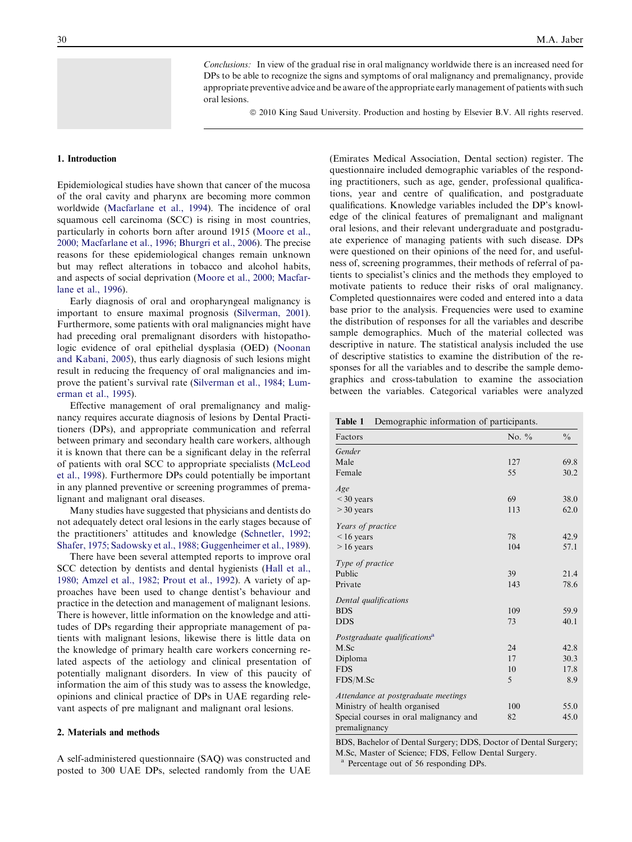Conclusions: In view of the gradual rise in oral malignancy worldwide there is an increased need for DPs to be able to recognize the signs and symptoms of oral malignancy and premalignancy, provide appropriate preventive advice and be aware of the appropriate early management of patients with such oral lesions.

ª 2010 King Saud University. Production and hosting by Elsevier B.V. All rights reserved.

#### <span id="page-1-0"></span>1. Introduction

Epidemiological studies have shown that cancer of the mucosa of the oral cavity and pharynx are becoming more common worldwide [\(Macfarlane et al., 1994\)](#page-7-0). The incidence of oral squamous cell carcinoma (SCC) is rising in most countries, particularly in cohorts born after around 1915 ([Moore et al.,](#page-7-0) [2000; Macfarlane et al., 1996; Bhurgri et al., 2006\)](#page-7-0). The precise reasons for these epidemiological changes remain unknown but may reflect alterations in tobacco and alcohol habits, and aspects of social deprivation ([Moore et al., 2000; Macfar](#page-7-0)[lane et al., 1996](#page-7-0)).

Early diagnosis of oral and oropharyngeal malignancy is important to ensure maximal prognosis ([Silverman, 2001](#page-7-0)). Furthermore, some patients with oral malignancies might have had preceding oral premalignant disorders with histopathologic evidence of oral epithelial dysplasia (OED) [\(Noonan](#page-7-0) [and Kabani, 2005](#page-7-0)), thus early diagnosis of such lesions might result in reducing the frequency of oral malignancies and improve the patient's survival rate [\(Silverman et al., 1984; Lum](#page-7-0)[erman et al., 1995\)](#page-7-0).

Effective management of oral premalignancy and malignancy requires accurate diagnosis of lesions by Dental Practitioners (DPs), and appropriate communication and referral between primary and secondary health care workers, although it is known that there can be a significant delay in the referral of patients with oral SCC to appropriate specialists [\(McLeod](#page-7-0) [et al., 1998\)](#page-7-0). Furthermore DPs could potentially be important in any planned preventive or screening programmes of premalignant and malignant oral diseases.

Many studies have suggested that physicians and dentists do not adequately detect oral lesions in the early stages because of the practitioners' attitudes and knowledge [\(Schnetler, 1992;](#page-7-0) [Shafer, 1975; Sadowsky et al., 1988; Guggenheimer et al., 1989](#page-7-0)).

There have been several attempted reports to improve oral SCC detection by dentists and dental hygienists ([Hall et al.,](#page-7-0) [1980; Amzel et al., 1982; Prout et al., 1992](#page-7-0)). A variety of approaches have been used to change dentist's behaviour and practice in the detection and management of malignant lesions. There is however, little information on the knowledge and attitudes of DPs regarding their appropriate management of patients with malignant lesions, likewise there is little data on the knowledge of primary health care workers concerning related aspects of the aetiology and clinical presentation of potentially malignant disorders. In view of this paucity of information the aim of this study was to assess the knowledge, opinions and clinical practice of DPs in UAE regarding relevant aspects of pre malignant and malignant oral lesions.

#### 2. Materials and methods

A self-administered questionnaire (SAQ) was constructed and posted to 300 UAE DPs, selected randomly from the UAE (Emirates Medical Association, Dental section) register. The questionnaire included demographic variables of the responding practitioners, such as age, gender, professional qualifications, year and centre of qualification, and postgraduate qualifications. Knowledge variables included the DP's knowledge of the clinical features of premalignant and malignant oral lesions, and their relevant undergraduate and postgraduate experience of managing patients with such disease. DPs were questioned on their opinions of the need for, and usefulness of, screening programmes, their methods of referral of patients to specialist's clinics and the methods they employed to motivate patients to reduce their risks of oral malignancy. Completed questionnaires were coded and entered into a data base prior to the analysis. Frequencies were used to examine the distribution of responses for all the variables and describe sample demographics. Much of the material collected was descriptive in nature. The statistical analysis included the use of descriptive statistics to examine the distribution of the responses for all the variables and to describe the sample demographics and cross-tabulation to examine the association between the variables. Categorical variables were analyzed

Table 1 Demographic information of participants.

| Factors                                                 | No. $\%$ | $\frac{0}{0}$ |
|---------------------------------------------------------|----------|---------------|
|                                                         |          |               |
| Gender                                                  |          |               |
| Male                                                    | 127      | 69.8          |
| Female                                                  | 55       | 30.2          |
| Age                                                     |          |               |
| $<$ 30 years                                            | 69       | 38.0          |
| $>$ 30 years                                            | 113      | 62.0          |
| Years of practice                                       |          |               |
| $<$ 16 years                                            | 78       | 42.9          |
| $>16$ years                                             | 104      | 57.1          |
| Type of practice                                        |          |               |
| Public                                                  | 39       | 21.4          |
| Private                                                 | 143      | 78.6          |
| Dental qualifications                                   |          |               |
| <b>BDS</b>                                              | 109      | 59.9          |
| <b>DDS</b>                                              | 73       | 40.1          |
| Postgraduate qualifications <sup>a</sup>                |          |               |
| M.Sc                                                    | 24       | 42.8          |
| Diploma                                                 | 17       | 30.3          |
| <b>FDS</b>                                              | 10       | 17.8          |
| FDS/M.Sc                                                | 5        | 8.9           |
| Attendance at postgraduate meetings                     |          |               |
| Ministry of health organised                            | 100      | 55.0          |
| Special courses in oral malignancy and<br>premalignancy | 82       | 45.0          |

BDS, Bachelor of Dental Surgery; DDS, Doctor of Dental Surgery;

M.Sc, Master of Science; FDS, Fellow Dental Surgery.

Percentage out of 56 responding DPs.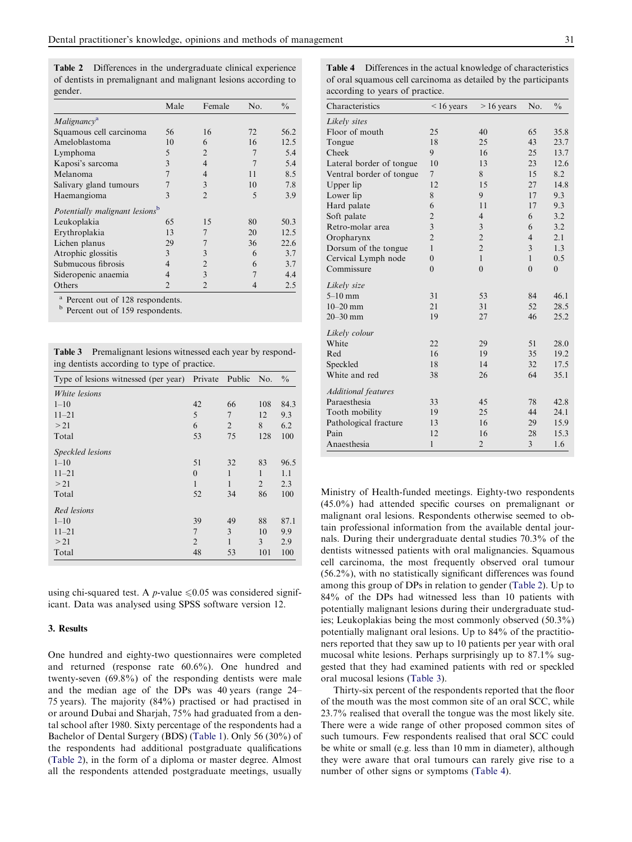Table 2 Differences in the undergraduate clinical experience of dentists in premalignant and malignant lesions according to gender.

|                                            | Male           | Female         | No.            | $\frac{0}{0}$ |
|--------------------------------------------|----------------|----------------|----------------|---------------|
| Malignancy <sup>a</sup>                    |                |                |                |               |
| Squamous cell carcinoma                    | 56             | 16             | 72             | 56.2          |
| Ameloblastoma                              | 10             | 6              | 16             | 12.5          |
| Lymphoma                                   | 5              | $\overline{2}$ |                | 5.4           |
| Kaposi's sarcoma                           | 3              | $\overline{4}$ |                | 5.4           |
| Melanoma                                   |                | 4              | 11             | 8.5           |
| Salivary gland tumours                     |                | 3              | 10             | 7.8           |
| Haemangioma                                | 3              | $\mathfrak{D}$ | 5              | 3.9           |
| Potentially malignant lesions <sup>b</sup> |                |                |                |               |
| Leukoplakia                                | 65             | 15             | 80             | 50.3          |
| Erythroplakia                              | 13             | $\overline{7}$ | 20             | 12.5          |
| Lichen planus                              | 29             | 7              | 36             | 22.6          |
| Atrophic glossitis                         | 3              | 3              | 6              | 3.7           |
| Submucous fibrosis                         | $\overline{4}$ | $\overline{2}$ | 6              | 3.7           |
| Sideropenic anaemia                        | $\overline{4}$ | 3              | $\overline{7}$ | 4.4           |
| Others                                     | $\mathcal{D}$  | $\mathfrak{D}$ |                | 2.5           |

<sup>a</sup> Percent out of 128 respondents.<br><sup>b</sup> Percent out of 159 respondents.

Table 3 Premalignant lesions witnessed each year by responding dentists according to type of practice.

| Type of lesions witnessed (per year) Private Public |                |                | No. | $\frac{0}{0}$ |
|-----------------------------------------------------|----------------|----------------|-----|---------------|
| <i>White lesions</i>                                |                |                |     |               |
| $1 - 10$                                            | 42             | 66             | 108 | 84.3          |
| $11 - 21$                                           | 5              | $\overline{7}$ | 12  | 9.3           |
| > 21                                                | 6              | $\overline{2}$ | 8   | 6.2           |
| Total                                               | 53             | 75             | 128 | 100           |
| Speckled lesions                                    |                |                |     |               |
| $1 - 10$                                            | 51             | 32             | 83  | 96.5          |
| $11 - 21$                                           | $\theta$       | 1              | 1   | 1.1           |
| > 21                                                | 1              | 1              | 2   | 2.3           |
| Total                                               | 52             | 34             | 86  | 100           |
| Red lesions                                         |                |                |     |               |
| $1 - 10$                                            | 39             | 49             | 88  | 87.1          |
| $11 - 21$                                           | 7              | 3              | 10  | 9.9           |
| > 21                                                | $\overline{2}$ | 1              | 3   | 2.9           |
| Total                                               | 48             | 53             | 101 | 100           |

using chi-squared test. A *p*-value  $\leq 0.05$  was considered significant. Data was analysed using SPSS software version 12.

#### 3. Results

One hundred and eighty-two questionnaires were completed and returned (response rate 60.6%). One hundred and twenty-seven (69.8%) of the responding dentists were male and the median age of the DPs was 40 years (range 24– 75 years). The majority (84%) practised or had practised in or around Dubai and Sharjah, 75% had graduated from a dental school after 1980. Sixty percentage of the respondents had a Bachelor of Dental Surgery (BDS) ([Table 1](#page-1-0)). Only 56 (30%) of the respondents had additional postgraduate qualifications (Table 2), in the form of a diploma or master degree. Almost all the respondents attended postgraduate meetings, usually

Table 4 Differences in the actual knowledge of characteristics of oral squamous cell carcinoma as detailed by the participants according to years of practice.

| Characteristics            | $< 16$ years     | $>16$ years    | No.            | $\frac{0}{0}$  |  |
|----------------------------|------------------|----------------|----------------|----------------|--|
| Likely sites               |                  |                |                |                |  |
| Floor of mouth             | 25               | 40             | 65             | 35.8           |  |
| Tongue                     | 18               | 25             | 43             | 23.7           |  |
| Cheek                      | 9                | 16             | 25             | 13.7           |  |
| Lateral border of tongue   | 10               | 13             | 23             | 12.6           |  |
| Ventral border of tongue   | 7                | 8              | 15             | 8.2            |  |
| Upper lip                  | 12               | 15             | 27             | 14.8           |  |
| Lower lip                  | 8                | 9              | 17             | 9.3            |  |
| Hard palate                | 6                | 11             | 17             | 9.3            |  |
| Soft palate                | $\overline{2}$   | $\overline{4}$ | 6              | 3.2            |  |
| Retro-molar area           | $\overline{3}$   | 3              | 6              | 3.2            |  |
| Oropharynx                 | $\overline{2}$   | $\overline{2}$ | $\overline{4}$ | 2.1            |  |
| Dorsum of the tongue       | $\mathbf{1}$     | $\overline{c}$ | 3              | 1.3            |  |
| Cervical Lymph node        | $\boldsymbol{0}$ | $\mathbf{1}$   | $\mathbf{1}$   | 0.5            |  |
| Commissure                 | $\theta$         | $\theta$       | $\theta$       | $\overline{0}$ |  |
| Likely size                |                  |                |                |                |  |
| $5-10$ mm                  | 31               | 53             | 84             | 46.1           |  |
| $10 - 20$ mm               | 21               | 31             | 52             | 28.5           |  |
| $20 - 30$ mm               | 19               | 27             | 46             | 25.2           |  |
| Likely colour              |                  |                |                |                |  |
| White                      | 22               | 29             | 51             | 28.0           |  |
| Red                        | 16               | 19             | 35             | 19.2           |  |
| Speckled                   | 18               | 14             | 32             | 17.5           |  |
| White and red              | 38               | 26             | 64             | 35.1           |  |
| <b>Additional features</b> |                  |                |                |                |  |
| Paraesthesia               | 33               | 45             | 78             | 42.8           |  |
| Tooth mobility             | 19               | 25             | 44             | 24.1           |  |
| Pathological fracture      | 13               | 16             | 29             | 15.9           |  |
| Pain                       | 12               | 16             | 28             | 15.3           |  |
| Anaesthesia                | $\mathbf{1}$     | $\overline{2}$ | 3              | 1.6            |  |

Ministry of Health-funded meetings. Eighty-two respondents (45.0%) had attended specific courses on premalignant or malignant oral lesions. Respondents otherwise seemed to obtain professional information from the available dental journals. During their undergraduate dental studies 70.3% of the dentists witnessed patients with oral malignancies. Squamous cell carcinoma, the most frequently observed oral tumour (56.2%), with no statistically significant differences was found among this group of DPs in relation to gender (Table 2). Up to 84% of the DPs had witnessed less than 10 patients with potentially malignant lesions during their undergraduate studies; Leukoplakias being the most commonly observed (50.3%) potentially malignant oral lesions. Up to 84% of the practitioners reported that they saw up to 10 patients per year with oral mucosal white lesions. Perhaps surprisingly up to 87.1% suggested that they had examined patients with red or speckled oral mucosal lesions (Table 3).

Thirty-six percent of the respondents reported that the floor of the mouth was the most common site of an oral SCC, while 23.7% realised that overall the tongue was the most likely site. There were a wide range of other proposed common sites of such tumours. Few respondents realised that oral SCC could be white or small (e.g. less than 10 mm in diameter), although they were aware that oral tumours can rarely give rise to a number of other signs or symptoms (Table 4).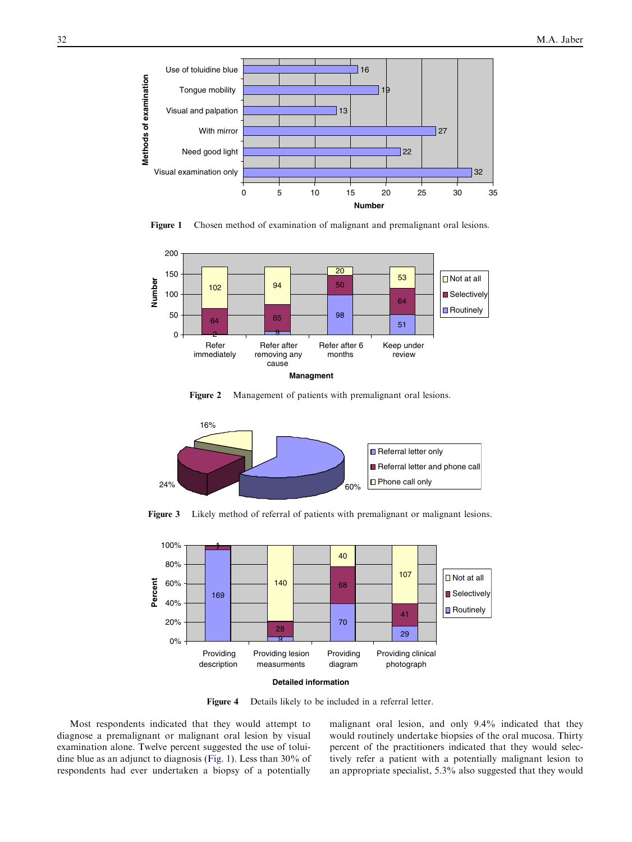<span id="page-3-0"></span>

Figure 1 Chosen method of examination of malignant and premalignant oral lesions.



Figure 2 Management of patients with premalignant oral lesions.



Figure 3 Likely method of referral of patients with premalignant or malignant lesions.



Figure 4 Details likely to be included in a referral letter.

Most respondents indicated that they would attempt to diagnose a premalignant or malignant oral lesion by visual examination alone. Twelve percent suggested the use of toluidine blue as an adjunct to diagnosis (Fig. 1). Less than 30% of respondents had ever undertaken a biopsy of a potentially

malignant oral lesion, and only 9.4% indicated that they would routinely undertake biopsies of the oral mucosa. Thirty percent of the practitioners indicated that they would selectively refer a patient with a potentially malignant lesion to an appropriate specialist, 5.3% also suggested that they would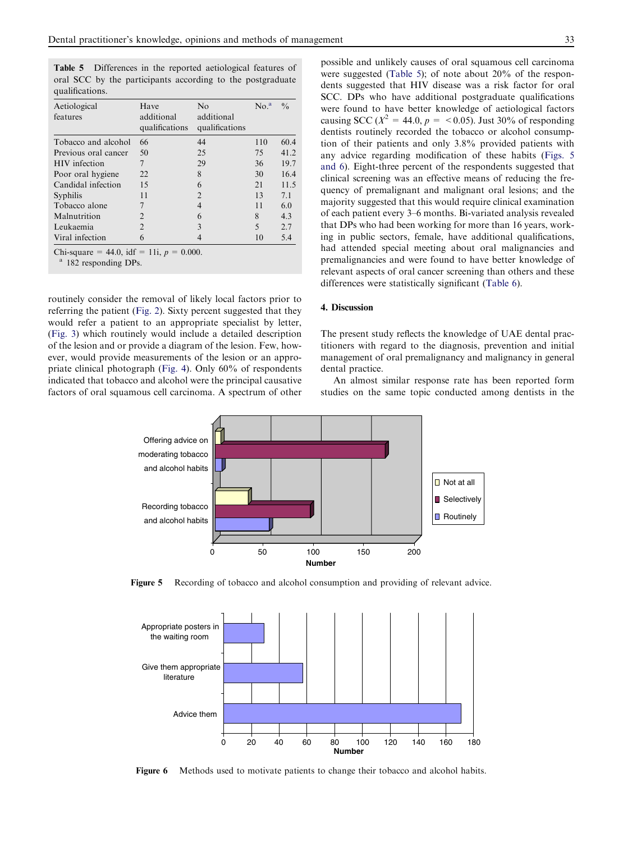Table 5 Differences in the reported aetiological features of oral SCC by the participants according to the postgraduate qualifications.

| Aetiological<br>features | Have<br>additional<br>qualifications | No<br>additional<br>qualifications | No. <sup>a</sup> | $\frac{0}{0}$ |
|--------------------------|--------------------------------------|------------------------------------|------------------|---------------|
| Tobacco and alcohol      | 66                                   | 44                                 | 110              | 60.4          |
| Previous oral cancer     | 50                                   | 25                                 | 75               | 41.2          |
| <b>HIV</b> infection     | 7                                    | 29                                 | 36               | 19.7          |
| Poor oral hygiene        | 22                                   | 8                                  | 30               | 16.4          |
| Candidal infection       | 15                                   | 6                                  | 21               | 11.5          |
| Syphilis                 | 11                                   | 2                                  | 13               | 7.1           |
| Tobacco alone            |                                      | 4                                  | 11               | 6.0           |
| Malnutrition             | 2                                    | 6                                  | 8                | 4.3           |
| Leukaemia                | $\mathfrak{D}$                       | 3                                  | 5                | 2.7           |
| Viral infection          | 6                                    |                                    | 10               | 5.4           |

Chi-square = 44.0, idf = 11i,  $p = 0.000$ .

<sup>a</sup> 182 responding DPs.

routinely consider the removal of likely local factors prior to referring the patient ([Fig. 2](#page-3-0)). Sixty percent suggested that they would refer a patient to an appropriate specialist by letter, [\(Fig. 3\)](#page-3-0) which routinely would include a detailed description of the lesion and or provide a diagram of the lesion. Few, however, would provide measurements of the lesion or an appropriate clinical photograph [\(Fig. 4](#page-3-0)). Only 60% of respondents indicated that tobacco and alcohol were the principal causative factors of oral squamous cell carcinoma. A spectrum of other possible and unlikely causes of oral squamous cell carcinoma were suggested (Table 5); of note about 20% of the respondents suggested that HIV disease was a risk factor for oral SCC. DPs who have additional postgraduate qualifications were found to have better knowledge of aetiological factors

causing SCC ( $X^2 = 44.0$ ,  $p = <0.05$ ). Just 30% of responding dentists routinely recorded the tobacco or alcohol consumption of their patients and only 3.8% provided patients with any advice regarding modification of these habits (Figs. 5 and 6). Eight-three percent of the respondents suggested that clinical screening was an effective means of reducing the frequency of premalignant and malignant oral lesions; and the majority suggested that this would require clinical examination of each patient every 3–6 months. Bi-variated analysis revealed that DPs who had been working for more than 16 years, working in public sectors, female, have additional qualifications, had attended special meeting about oral malignancies and premalignancies and were found to have better knowledge of relevant aspects of oral cancer screening than others and these differences were statistically significant ([Table 6](#page-5-0)).

#### 4. Discussion

The present study reflects the knowledge of UAE dental practitioners with regard to the diagnosis, prevention and initial management of oral premalignancy and malignancy in general dental practice.

An almost similar response rate has been reported form studies on the same topic conducted among dentists in the



Figure 5 Recording of tobacco and alcohol consumption and providing of relevant advice.



Figure 6 Methods used to motivate patients to change their tobacco and alcohol habits.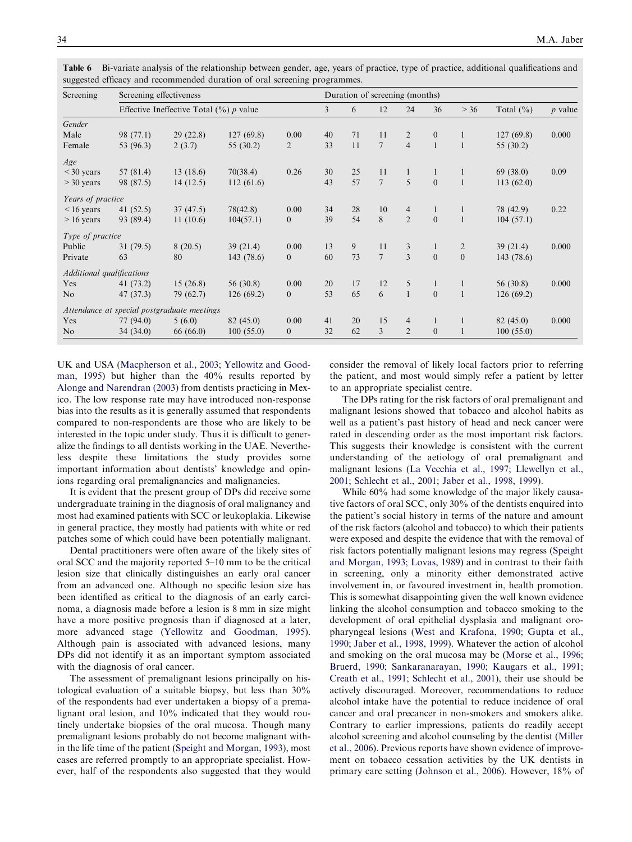| Screening                 | Screening effectiveness |                                                     |           | Duration of screening (months) |                |    |                |                |                |                |               |           |
|---------------------------|-------------------------|-----------------------------------------------------|-----------|--------------------------------|----------------|----|----------------|----------------|----------------|----------------|---------------|-----------|
|                           |                         | Effective Ineffective Total $(\frac{9}{6})$ p value |           |                                | $\overline{3}$ | 6  | 12             | 24             | 36             | > 36           | Total $(\% )$ | $p$ value |
| Gender                    |                         |                                                     |           |                                |                |    |                |                |                |                |               |           |
| Male                      | 98 (77.1)               | 29(22.8)                                            | 127(69.8) | 0.00                           | 40             | 71 | 11             | 2              | $\mathbf{0}$   |                | 127(69.8)     | 0.000     |
| Female                    | 53 (96.3)               | 2(3.7)                                              | 55 (30.2) | 2                              | 33             | 11 | $\overline{7}$ | $\overline{4}$ | $\mathbf{1}$   | $\overline{1}$ | 55 (30.2)     |           |
| Age                       |                         |                                                     |           |                                |                |    |                |                |                |                |               |           |
| $<$ 30 years              | 57 (81.4)               | 13(18.6)                                            | 70(38.4)  | 0.26                           | 30             | 25 | 11             | $\mathbf{1}$   | $\mathbf{1}$   |                | 69(38.0)      | 0.09      |
| $>$ 30 years              | 98 (87.5)               | 14(12.5)                                            | 112(61.6) |                                | 43             | 57 | $\overline{7}$ | $\overline{5}$ | $\theta$       | $\mathbf{1}$   | 113(62.0)     |           |
| Years of practice         |                         |                                                     |           |                                |                |    |                |                |                |                |               |           |
| $\leq 16$ years           | 41 $(52.5)$             | 37(47.5)                                            | 78(42.8)  | 0.00                           | 34             | 28 | 10             | 4              | 1              |                | 78 (42.9)     | 0.22      |
| $> 16$ years              | 93 (89.4)               | 11(10.6)                                            | 104(57.1) | $\overline{0}$                 | 39             | 54 | 8              | $\overline{2}$ | $\overline{0}$ | $\overline{1}$ | 104(57.1)     |           |
| Type of practice          |                         |                                                     |           |                                |                |    |                |                |                |                |               |           |
| Public                    | 31(79.5)                | 8(20.5)                                             | 39(21.4)  | 0.00                           | 13             | 9  | 11             | 3              | $\mathbf{1}$   | 2              | 39(21.4)      | 0.000     |
| Private                   | 63                      | 80                                                  | 143(78.6) | $\overline{0}$                 | 60             | 73 | $\tau$         | $\mathcal{L}$  | $\theta$       | $\mathbf{0}$   | 143(78.6)     |           |
| Additional qualifications |                         |                                                     |           |                                |                |    |                |                |                |                |               |           |
| Yes                       | 41 (73.2)               | 15(26.8)                                            | 56 (30.8) | 0.00                           | 20             | 17 | 12             | 5              | 1              | 1              | 56 (30.8)     | 0.000     |
| N <sub>o</sub>            | 47 (37.3)               | 79 (62.7)                                           | 126(69.2) | $\overline{0}$                 | 53             | 65 | 6              | $\mathbf{1}$   | $\overline{0}$ | $\overline{1}$ | 126(69.2)     |           |
|                           |                         | Attendance at special postgraduate meetings         |           |                                |                |    |                |                |                |                |               |           |
| Yes                       | 77(94.0)                | 5(6.0)                                              | 82 (45.0) | 0.00                           | 41             | 20 | 15             | 4              | $\mathbf{1}$   |                | 82(45.0)      | 0.000     |
| N <sub>o</sub>            | 34(34.0)                | 66 (66.0)                                           | 100(55.0) | $\overline{0}$                 | 32             | 62 | 3              | $\overline{2}$ | $\mathbf{0}$   |                | 100(55.0)     |           |

<span id="page-5-0"></span>Table 6 Bi-variate analysis of the relationship between gender, age, years of practice, type of practice, additional qualifications and suggested efficacy and recommended duration of oral screening programmes.

UK and USA [\(Macpherson et al., 2003; Yellowitz and Good](#page-7-0)[man, 1995](#page-7-0)) but higher than the 40% results reported by [Alonge and Narendran \(2003\)](#page-6-0) from dentists practicing in Mexico. The low response rate may have introduced non-response bias into the results as it is generally assumed that respondents compared to non-respondents are those who are likely to be interested in the topic under study. Thus it is difficult to generalize the findings to all dentists working in the UAE. Nevertheless despite these limitations the study provides some important information about dentists' knowledge and opinions regarding oral premalignancies and malignancies.

It is evident that the present group of DPs did receive some undergraduate training in the diagnosis of oral malignancy and most had examined patients with SCC or leukoplakia. Likewise in general practice, they mostly had patients with white or red patches some of which could have been potentially malignant.

Dental practitioners were often aware of the likely sites of oral SCC and the majority reported 5–10 mm to be the critical lesion size that clinically distinguishes an early oral cancer from an advanced one. Although no specific lesion size has been identified as critical to the diagnosis of an early carcinoma, a diagnosis made before a lesion is 8 mm in size might have a more positive prognosis than if diagnosed at a later, more advanced stage ([Yellowitz and Goodman, 1995](#page-7-0)). Although pain is associated with advanced lesions, many DPs did not identify it as an important symptom associated with the diagnosis of oral cancer.

The assessment of premalignant lesions principally on histological evaluation of a suitable biopsy, but less than 30% of the respondents had ever undertaken a biopsy of a premalignant oral lesion, and 10% indicated that they would routinely undertake biopsies of the oral mucosa. Though many premalignant lesions probably do not become malignant within the life time of the patient ([Speight and Morgan, 1993\)](#page-7-0), most cases are referred promptly to an appropriate specialist. However, half of the respondents also suggested that they would consider the removal of likely local factors prior to referring the patient, and most would simply refer a patient by letter to an appropriate specialist centre.

The DPs rating for the risk factors of oral premalignant and malignant lesions showed that tobacco and alcohol habits as well as a patient's past history of head and neck cancer were rated in descending order as the most important risk factors. This suggests their knowledge is consistent with the current understanding of the aetiology of oral premalignant and malignant lesions [\(La Vecchia et al., 1997; Llewellyn et al.,](#page-7-0) [2001; Schlecht et al., 2001; Jaber et al., 1998, 1999\)](#page-7-0).

While 60% had some knowledge of the major likely causative factors of oral SCC, only 30% of the dentists enquired into the patient's social history in terms of the nature and amount of the risk factors (alcohol and tobacco) to which their patients were exposed and despite the evidence that with the removal of risk factors potentially malignant lesions may regress [\(Speight](#page-7-0) [and Morgan, 1993; Lovas, 1989\)](#page-7-0) and in contrast to their faith in screening, only a minority either demonstrated active involvement in, or favoured investment in, health promotion. This is somewhat disappointing given the well known evidence linking the alcohol consumption and tobacco smoking to the development of oral epithelial dysplasia and malignant oropharyngeal lesions ([West and Krafona, 1990; Gupta et al.,](#page-7-0) [1990; Jaber et al., 1998, 1999](#page-7-0)). Whatever the action of alcohol and smoking on the oral mucosa may be ([Morse et al., 1996;](#page-7-0) [Bruerd, 1990; Sankaranarayan, 1990; Kaugars et al., 1991;](#page-7-0) [Creath et al., 1991; Schlecht et al., 2001](#page-7-0)), their use should be actively discouraged. Moreover, recommendations to reduce alcohol intake have the potential to reduce incidence of oral cancer and oral precancer in non-smokers and smokers alike. Contrary to earlier impressions, patients do readily accept alcohol screening and alcohol counseling by the dentist [\(Miller](#page-7-0) [et al., 2006\)](#page-7-0). Previous reports have shown evidence of improvement on tobacco cessation activities by the UK dentists in primary care setting ([Johnson et al., 2006](#page-7-0)). However, 18% of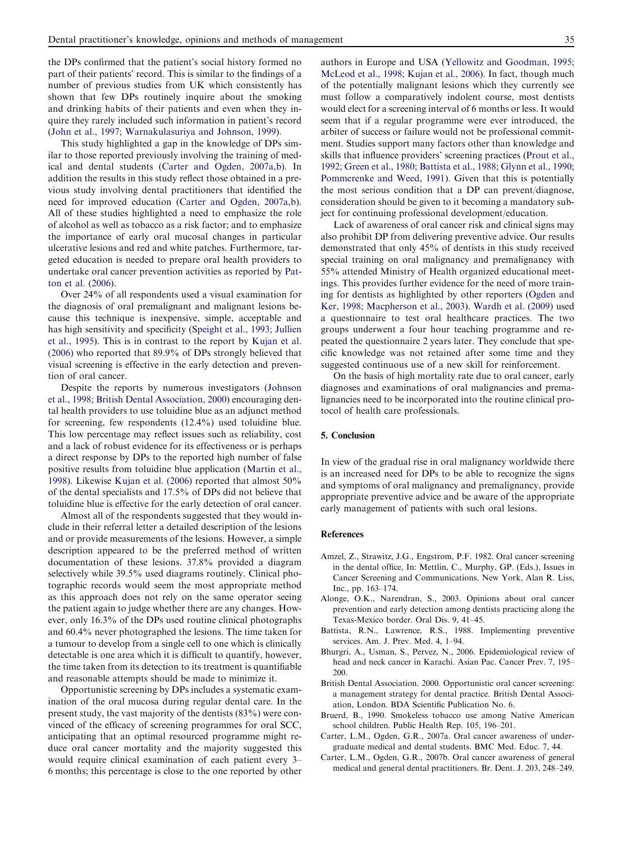<span id="page-6-0"></span>the DPs confirmed that the patient's social history formed no part of their patients' record. This is similar to the findings of a number of previous studies from UK which consistently has shown that few DPs routinely inquire about the smoking and drinking habits of their patients and even when they inquire they rarely included such information in patient's record [\(John et al., 1997; Warnakulasuriya and Johnson, 1999](#page-7-0)).

This study highlighted a gap in the knowledge of DPs similar to those reported previously involving the training of medical and dental students (Carter and Ogden, 2007a,b). In addition the results in this study reflect those obtained in a previous study involving dental practitioners that identified the need for improved education (Carter and Ogden, 2007a,b). All of these studies highlighted a need to emphasize the role of alcohol as well as tobacco as a risk factor; and to emphasize the importance of early oral mucosal changes in particular ulcerative lesions and red and white patches. Furthermore, targeted education is needed to prepare oral health providers to undertake oral cancer prevention activities as reported by [Pat](#page-7-0)[ton et al. \(2006\)](#page-7-0).

Over 24% of all respondents used a visual examination for the diagnosis of oral premalignant and malignant lesions because this technique is inexpensive, simple, acceptable and has high sensitivity and specificity [\(Speight et al., 1993; Jullien](#page-7-0) [et al., 1995](#page-7-0)). This is in contrast to the report by [Kujan et al.](#page-7-0) [\(2006\)](#page-7-0) who reported that 89.9% of DPs strongly believed that visual screening is effective in the early detection and prevention of oral cancer.

Despite the reports by numerous investigators [\(Johnson](#page-7-0) [et al., 1998; British Dental Association, 2000\)](#page-7-0) encouraging dental health providers to use toluidine blue as an adjunct method for screening, few respondents (12.4%) used toluidine blue. This low percentage may reflect issues such as reliability, cost and a lack of robust evidence for its effectiveness or is perhaps a direct response by DPs to the reported high number of false positive results from toluidine blue application ([Martin et al.,](#page-7-0) [1998](#page-7-0)). Likewise [Kujan et al. \(2006\)](#page-7-0) reported that almost 50% of the dental specialists and 17.5% of DPs did not believe that toluidine blue is effective for the early detection of oral cancer.

Almost all of the respondents suggested that they would include in their referral letter a detailed description of the lesions and or provide measurements of the lesions. However, a simple description appeared to be the preferred method of written documentation of these lesions. 37.8% provided a diagram selectively while 39.5% used diagrams routinely. Clinical photographic records would seem the most appropriate method as this approach does not rely on the same operator seeing the patient again to judge whether there are any changes. However, only 16.3% of the DPs used routine clinical photographs and 60.4% never photographed the lesions. The time taken for a tumour to develop from a single cell to one which is clinically detectable is one area which it is difficult to quantify, however, the time taken from its detection to its treatment is quantifiable and reasonable attempts should be made to minimize it.

Opportunistic screening by DPs includes a systematic examination of the oral mucosa during regular dental care. In the present study, the vast majority of the dentists (83%) were convinced of the efficacy of screening programmes for oral SCC, anticipating that an optimal resourced programme might reduce oral cancer mortality and the majority suggested this would require clinical examination of each patient every 3– 6 months; this percentage is close to the one reported by other authors in Europe and USA [\(Yellowitz and Goodman, 1995;](#page-7-0) [McLeod et al., 1998; Kujan et al., 2006](#page-7-0)). In fact, though much of the potentially malignant lesions which they currently see must follow a comparatively indolent course, most dentists would elect for a screening interval of 6 months or less. It would seem that if a regular programme were ever introduced, the arbiter of success or failure would not be professional commitment. Studies support many factors other than knowledge and skills that influence providers' screening practices [\(Prout et al.,](#page-7-0) [1992; Green et al., 1980; Battista et al., 1988; Glynn et al., 1990;](#page-7-0) [Pommerenke and Weed, 1991](#page-7-0)). Given that this is potentially the most serious condition that a DP can prevent/diagnose, consideration should be given to it becoming a mandatory subject for continuing professional development/education.

Lack of awareness of oral cancer risk and clinical signs may also prohibit DP from delivering preventive advice. Our results demonstrated that only 45% of dentists in this study received special training on oral malignancy and premalignancy with 55% attended Ministry of Health organized educational meetings. This provides further evidence for the need of more training for dentists as highlighted by other reporters ([Ogden and](#page-7-0) [Ker, 1998; Macpherson et al., 2003](#page-7-0)). [Wardh et al. \(2009\)](#page-7-0) used a questionnaire to test oral healthcare practices. The two groups underwent a four hour teaching programme and repeated the questionnaire 2 years later. They conclude that specific knowledge was not retained after some time and they suggested continuous use of a new skill for reinforcement.

On the basis of high mortality rate due to oral cancer, early diagnoses and examinations of oral malignancies and premalignancies need to be incorporated into the routine clinical protocol of health care professionals.

#### 5. Conclusion

In view of the gradual rise in oral malignancy worldwide there is an increased need for DPs to be able to recognize the signs and symptoms of oral malignancy and premalignancy, provide appropriate preventive advice and be aware of the appropriate early management of patients with such oral lesions.

#### References

- Amzel, Z., Strawitz, J.G., Engstrom, P.F. 1982. Oral cancer screening in the dental office, In: Mettlin, C., Murphy, GP. (Eds.), Issues in Cancer Screening and Communications. New York, Alan R. Liss, Inc., pp. 163–174.
- Alonge, O.K., Narendran, S., 2003. Opinions about oral cancer prevention and early detection among dentists practicing along the Texas-Mexico border. Oral Dis. 9, 41–45.
- Battista, R.N., Lawrence, R.S., 1988. Implementing preventive services. Am. J. Prev. Med. 4, 1–94.
- Bhurgri, A., Usman, S., Pervez, N., 2006. Epidemiological review of head and neck cancer in Karachi. Asian Pac. Cancer Prev. 7, 195– 200.
- British Dental Association. 2000. Opportunistic oral cancer screening: a management strategy for dental practice. British Dental Association, London. BDA Scientific Publication No. 6.
- Bruerd, B., 1990. Smokeless tobacco use among Native American school children. Public Health Rep. 105, 196–201.
- Carter, L.M., Ogden, G.R., 2007a. Oral cancer awareness of undergraduate medical and dental students. BMC Med. Educ. 7, 44.
- Carter, L.M., Ogden, G.R., 2007b. Oral cancer awareness of general medical and general dental practitioners. Br. Dent. J. 203, 248–249.